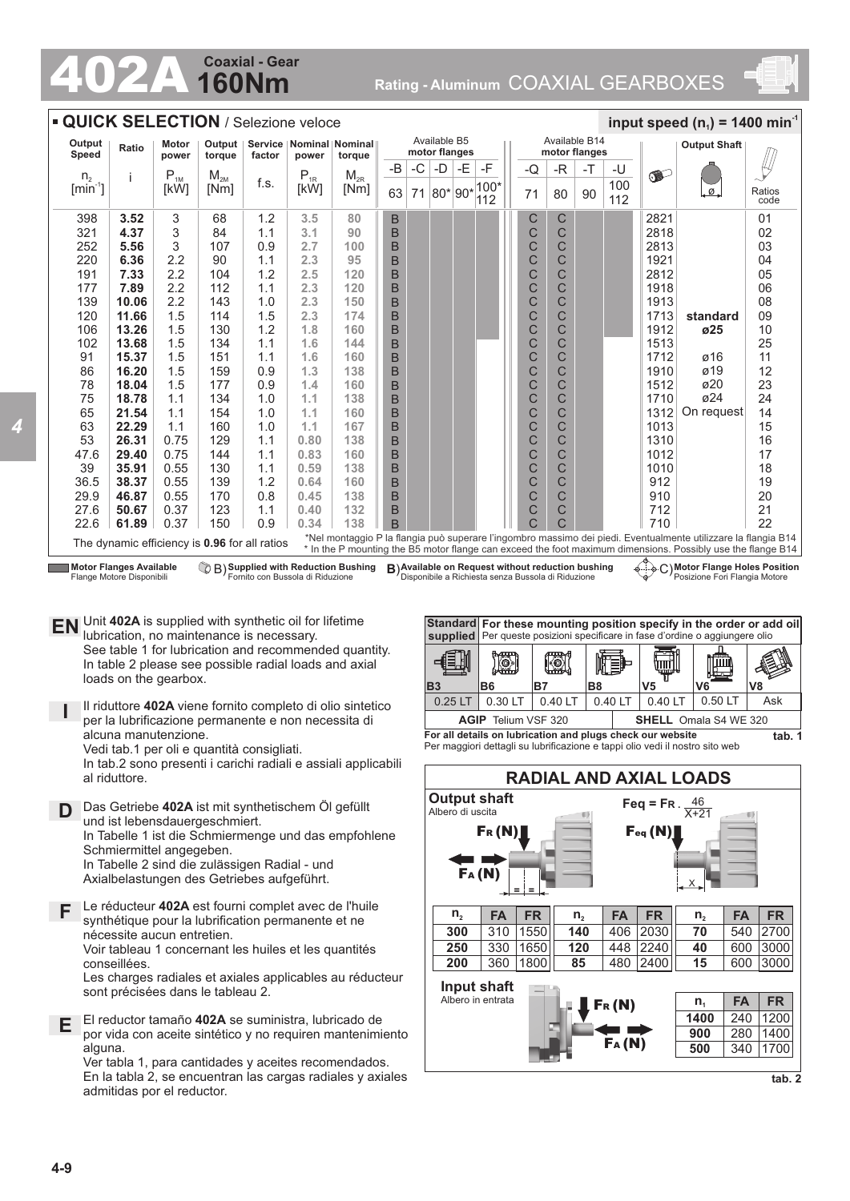# **160Nm Coaxial - Gear**

**24 COAXIEL GEAR**<br>**160Nm** Rating - Aluminum COAXIAL GEARBOXES



#### **QUICK SELECTION** / Selezione veloce **100 minimum speed (n** input speed (n ) = 1400 min<sup>2</sup> Available B5 Available B14 **Output Speed Ratio Motor**<br> **Speed Ratio power Output Output Shaft Service Nominal Nominal motor flanges motor flanges power torque factor power torque**  $-B$   $\vert$  -C  $\vert$  -D  $\vert$  -E  $\vert$  -F -E  $-C$  -R  $\vert$  -T  $\vert$  -U  $-$ T  $n<sub>2</sub>$ i  $P_{1M}$  $M_{2M}$ [Nm]  $M_{2R}$ o pro f.s.  $\begin{bmatrix} 1 \ kW \end{bmatrix}$   $\begin{bmatrix} W_{2R} \\ Nm \end{bmatrix}$ 100  $100$  $[min^{-1}]$ [kW] 63 71  $|80*|90*$ 71 80 ø Ratios 90 112 112 code 398 **3.52** 3 68 1.2 **3.5 80** C 2821 01 B C 321 **4.37** 3 84 1.1 **3.1 90** B C C 2818 02 C 252 **5.56** 3 107 0.9 **2.7 100** B C 2813 03 220 **6.36** 2.2 90 1.1 **2.3 95** B C C 1921 04 B C C 104 05 191 **7.33** 2.2 1.2 **2.5 120** 2812 B C C 177 **7.89** 2.2 112 1.1 **2.3 120** 1918 06 139 **10.06** 2.2 143 1.0 **2.3 150** B 1913 08 C C 120 **11.66** 1.5 114 1.5 **2.3 174** B 1713 09 C C **standard** C C 106 **13.26** 1.5 130 1.2 **1.8 160** B 1912 **ø25**  10 C C 102 **13.68** 1.5 134 1.1 **1.6 144** B 1513 25 91 **15.37** 1.5 151 1.1 **1.6 160** C C 1712 ø16 11 B  $\check{\rm c}$  $\overline{C}$ 86 **16.20** 1.5 159  $0.9$ **1.3 138** B 1910 ø19 12 C  $\overline{C}$ ø20 78 **18.04** 1.5 177 0.9 **1.4 160** B 1512 23  $\overline{C}$ C ø24 75 **18.78** 1.1 134 1.0 **1.1 138** B 1710  $24$ 65 **21.54** 1.1 154 1.0 **1.1 160** B C C 1312 On request 14 63 160 C C **22.29** 1.1 1.0 **1.1 167** B 1013 15 B C C 53 **26.31** 0.75 129 1.1 **0.80 138** 1310 16 C C 47.6 **29.40** 0.75 144 **160** B 17 1.1 **0.83** 1012 39 **35.91** 0.55 130 1.1 **0.59 138** B C C 1010 18 B C C 19 36.5 **38.37** 0.55 139 1.2 **0.64** 912 **160** 29.9 **46.87** 170 **0.45 138** B C C 910 20 0.55 0.8 C 27.6 **50.67** 0.37 123 **0.40 132** B  $\overline{C}$ 712 21 1.1 22.6 **61.89** 0.37 150 0.9 **0.34 138** B  $\overline{C}$ C 710 22 \*Nel montaggio P la flangia può superare l'ingombro massimo dei piedi. Eventualmente utilizzare la flangia B14 The dynamic efficiency is **0.96** for all ratios \* In the P mounting the B5 motor flange can exceed the foot maximum dimensions. Possibly use the flange B14 **Supplied with Reduction Bushing Motor Flange Holes Position Motor Flanges Available Available on Request with Reduction Bushing B) Available on Request without reduction bushing**  $\left(\frac{1}{2}\right)$  **C)** Flange Motore Disponibili Fornito con Bussola di Riduzione Disponibile a Richiesta senza Bussola di Riduzione Posizione Fori Flangia Motore

- **EN** Unit 402A is supplied with synthetic oil for lifetime<br>unitation to maintenance is necessary lubrication, no maintenance is necessary. See table 1 for lubrication and recommended quantity. In table 2 please see possible radial loads and axial loads on the gearbox.
	- **I** Il riduttore **402A** viene fornito completo di olio sintetico per la lubrificazione permanente e non necessita di alcuna manutenzione.

Vedi tab.1 per oli e quantità consigliati.

In tab.2 sono presenti i carichi radiali e assiali applicabili al riduttore.

**D** Das Getriebe **402A** ist mit synthetischem Öl gefüllt und ist lebensdauergeschmiert. In Tabelle 1 ist die Schmiermenge und das empfohlene Schmiermittel angegeben. In Tabelle 2 sind die zulässigen Radial - und Axialbelastungen des Getriebes aufgeführt.

**F** Le réducteur **402A** est fourni complet avec de l'huile synthétique pour la lubrification permanente et ne nécessite aucun entretien. Voir tableau 1 concernant les huiles et les quantités conseillées.

Les charges radiales et axiales applicables au réducteur sont précisées dans le tableau 2.

**E** El reductor tamaño **402A** se suministra, lubricado de por vida con aceite sintético y no requiren mantenimiento alguna

Ver tabla 1, para cantidades y aceites recomendados. En la tabla 2, se encuentran las cargas radiales y axiales admitidas por el reductor.



**For all details on lubrication and plugs check our website**  Per maggiori dettagli su lubrificazione e tappi olio vedi il nostro sito web



**tab. 2**